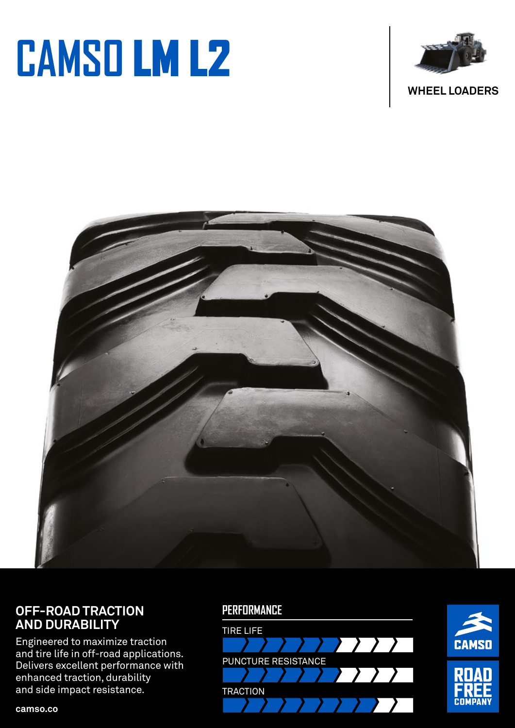# **CAMSO** LM L2





#### **OFF-ROAD TRACTION AND DURABILITY**

Engineered to maximize traction and tire life in off-road applications. Delivers excellent performance with enhanced traction, durability and side impact resistance.

#### **PERFORMANCE**





**camso.co**